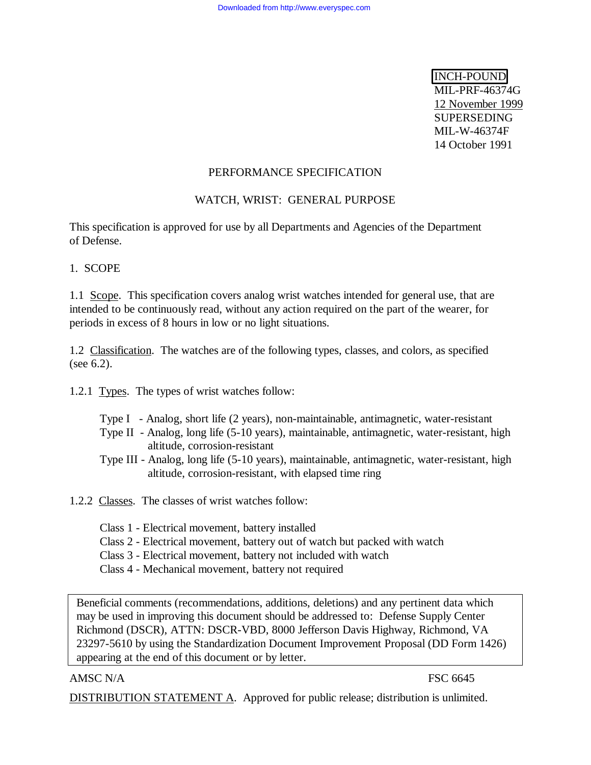INCH-POUND MIL-PRF-46374G 12 November 1999 SUPERSEDING MIL-W-46374F 14 October 1991

#### PERFORMANCE SPECIFICATION

# WATCH, WRIST: GENERAL PURPOSE

This specification is approved for use by all Departments and Agencies of the Department of Defense.

1. SCOPE

1.1 Scope. This specification covers analog wrist watches intended for general use, that are intended to be continuously read, without any action required on the part of the wearer, for periods in excess of 8 hours in low or no light situations.

1.2 Classification. The watches are of the following types, classes, and colors, as specified (see 6.2).

1.2.1 Types. The types of wrist watches follow:

- Type I Analog, short life (2 years), non-maintainable, antimagnetic, water-resistant
- Type II Analog, long life (5-10 years), maintainable, antimagnetic, water-resistant, high altitude, corrosion-resistant
- Type III Analog, long life (5-10 years), maintainable, antimagnetic, water-resistant, high altitude, corrosion-resistant, with elapsed time ring
- 1.2.2 Classes. The classes of wrist watches follow:
	- Class 1 Electrical movement, battery installed
	- Class 2 Electrical movement, battery out of watch but packed with watch
	- Class 3 Electrical movement, battery not included with watch
	- Class 4 Mechanical movement, battery not required

Beneficial comments (recommendations, additions, deletions) and any pertinent data which may be used in improving this document should be addressed to: Defense Supply Center Richmond (DSCR), ATTN: DSCR-VBD, 8000 Jefferson Davis Highway, Richmond, VA 23297-5610 by using the Standardization Document Improvement Proposal (DD Form 1426) appearing at the end of this document or by letter.

#### AMSC N/A FSC 6645

DISTRIBUTION STATEMENT A. Approved for public release; distribution is unlimited.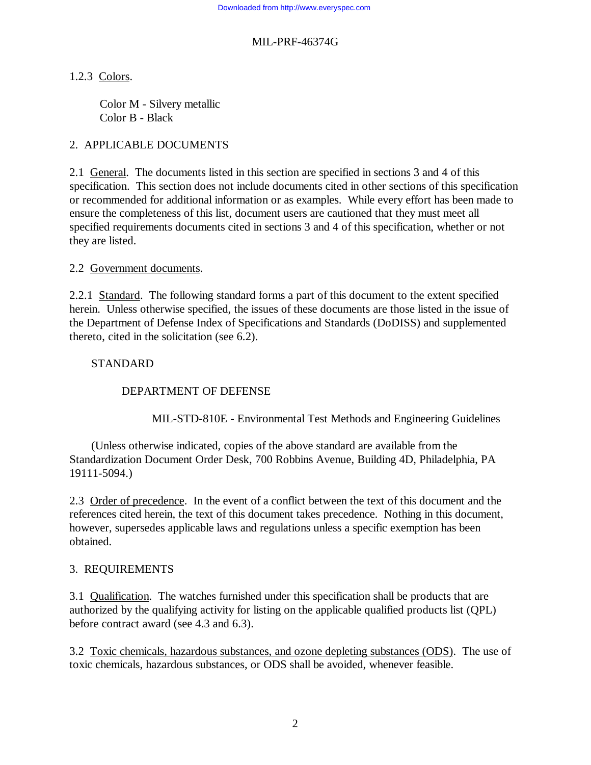# 1.2.3 Colors.

Color M - Silvery metallic Color B - Black

# 2. APPLICABLE DOCUMENTS

2.1 General. The documents listed in this section are specified in sections 3 and 4 of this specification. This section does not include documents cited in other sections of this specification or recommended for additional information or as examples. While every effort has been made to ensure the completeness of this list, document users are cautioned that they must meet all specified requirements documents cited in sections 3 and 4 of this specification, whether or not they are listed.

# 2.2 Government documents.

2.2.1 Standard. The following standard forms a part of this document to the extent specified herein. Unless otherwise specified, the issues of these documents are those listed in the issue of the Department of Defense Index of Specifications and Standards (DoDISS) and supplemented thereto, cited in the solicitation (see 6.2).

# STANDARD

# DEPARTMENT OF DEFENSE

MIL-STD-810E - Environmental Test Methods and Engineering Guidelines

(Unless otherwise indicated, copies of the above standard are available from the Standardization Document Order Desk, 700 Robbins Avenue, Building 4D, Philadelphia, PA 19111-5094.)

2.3 Order of precedence. In the event of a conflict between the text of this document and the references cited herein, the text of this document takes precedence. Nothing in this document, however, supersedes applicable laws and regulations unless a specific exemption has been obtained.

# 3. REQUIREMENTS

3.1 Qualification. The watches furnished under this specification shall be products that are authorized by the qualifying activity for listing on the applicable qualified products list (QPL) before contract award (see 4.3 and 6.3).

3.2 Toxic chemicals, hazardous substances, and ozone depleting substances (ODS). The use of toxic chemicals, hazardous substances, or ODS shall be avoided, whenever feasible.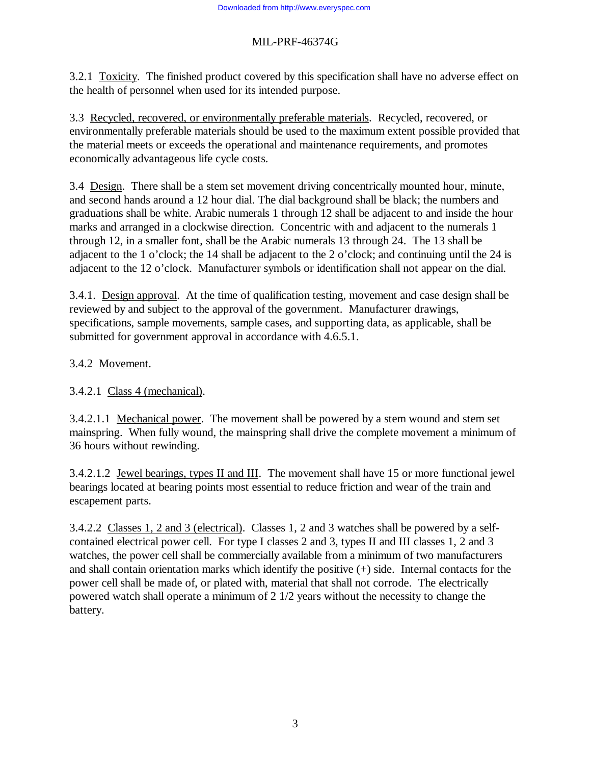3.2.1 Toxicity. The finished product covered by this specification shall have no adverse effect on the health of personnel when used for its intended purpose.

3.3 Recycled, recovered, or environmentally preferable materials. Recycled, recovered, or environmentally preferable materials should be used to the maximum extent possible provided that the material meets or exceeds the operational and maintenance requirements, and promotes economically advantageous life cycle costs.

3.4 Design. There shall be a stem set movement driving concentrically mounted hour, minute, and second hands around a 12 hour dial. The dial background shall be black; the numbers and graduations shall be white. Arabic numerals 1 through 12 shall be adjacent to and inside the hour marks and arranged in a clockwise direction. Concentric with and adjacent to the numerals 1 through 12, in a smaller font, shall be the Arabic numerals 13 through 24. The 13 shall be adjacent to the 1 o'clock; the 14 shall be adjacent to the 2 o'clock; and continuing until the 24 is adjacent to the 12 o'clock. Manufacturer symbols or identification shall not appear on the dial.

3.4.1. Design approval. At the time of qualification testing, movement and case design shall be reviewed by and subject to the approval of the government. Manufacturer drawings, specifications, sample movements, sample cases, and supporting data, as applicable, shall be submitted for government approval in accordance with 4.6.5.1.

# 3.4.2 Movement.

3.4.2.1 Class 4 (mechanical).

3.4.2.1.1 Mechanical power. The movement shall be powered by a stem wound and stem set mainspring. When fully wound, the mainspring shall drive the complete movement a minimum of 36 hours without rewinding.

3.4.2.1.2 Jewel bearings, types II and III. The movement shall have 15 or more functional jewel bearings located at bearing points most essential to reduce friction and wear of the train and escapement parts.

3.4.2.2 Classes 1, 2 and 3 (electrical). Classes 1, 2 and 3 watches shall be powered by a selfcontained electrical power cell. For type I classes 2 and 3, types II and III classes 1, 2 and 3 watches, the power cell shall be commercially available from a minimum of two manufacturers and shall contain orientation marks which identify the positive (+) side. Internal contacts for the power cell shall be made of, or plated with, material that shall not corrode. The electrically powered watch shall operate a minimum of 2 1/2 years without the necessity to change the battery.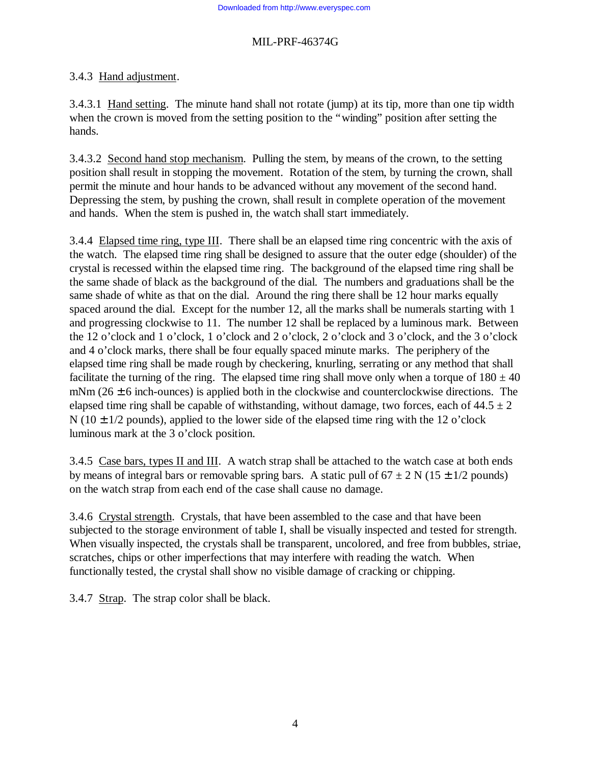# 3.4.3 Hand adjustment.

3.4.3.1 Hand setting. The minute hand shall not rotate (jump) at its tip, more than one tip width when the crown is moved from the setting position to the "winding" position after setting the hands.

3.4.3.2 Second hand stop mechanism. Pulling the stem, by means of the crown, to the setting position shall result in stopping the movement. Rotation of the stem, by turning the crown, shall permit the minute and hour hands to be advanced without any movement of the second hand. Depressing the stem, by pushing the crown, shall result in complete operation of the movement and hands. When the stem is pushed in, the watch shall start immediately.

3.4.4 Elapsed time ring, type III. There shall be an elapsed time ring concentric with the axis of the watch. The elapsed time ring shall be designed to assure that the outer edge (shoulder) of the crystal is recessed within the elapsed time ring. The background of the elapsed time ring shall be the same shade of black as the background of the dial. The numbers and graduations shall be the same shade of white as that on the dial. Around the ring there shall be 12 hour marks equally spaced around the dial. Except for the number 12, all the marks shall be numerals starting with 1 and progressing clockwise to 11. The number 12 shall be replaced by a luminous mark. Between the 12 o'clock and 1 o'clock, 1 o'clock and 2 o'clock, 2 o'clock and 3 o'clock, and the 3 o'clock and 4 o'clock marks, there shall be four equally spaced minute marks. The periphery of the elapsed time ring shall be made rough by checkering, knurling, serrating or any method that shall facilitate the turning of the ring. The elapsed time ring shall move only when a torque of  $180 \pm 40$ mNm ( $26 \pm 6$  inch-ounces) is applied both in the clockwise and counterclockwise directions. The elapsed time ring shall be capable of withstanding, without damage, two forces, each of  $44.5 \pm 2$ N ( $10 \pm 1/2$  pounds), applied to the lower side of the elapsed time ring with the 12 o'clock luminous mark at the 3 o'clock position.

3.4.5 Case bars, types II and III. A watch strap shall be attached to the watch case at both ends by means of integral bars or removable spring bars. A static pull of  $67 \pm 2$  N ( $15 \pm 1/2$  pounds) on the watch strap from each end of the case shall cause no damage.

3.4.6 Crystal strength. Crystals, that have been assembled to the case and that have been subjected to the storage environment of table I, shall be visually inspected and tested for strength. When visually inspected, the crystals shall be transparent, uncolored, and free from bubbles, striae, scratches, chips or other imperfections that may interfere with reading the watch. When functionally tested, the crystal shall show no visible damage of cracking or chipping.

3.4.7 Strap. The strap color shall be black.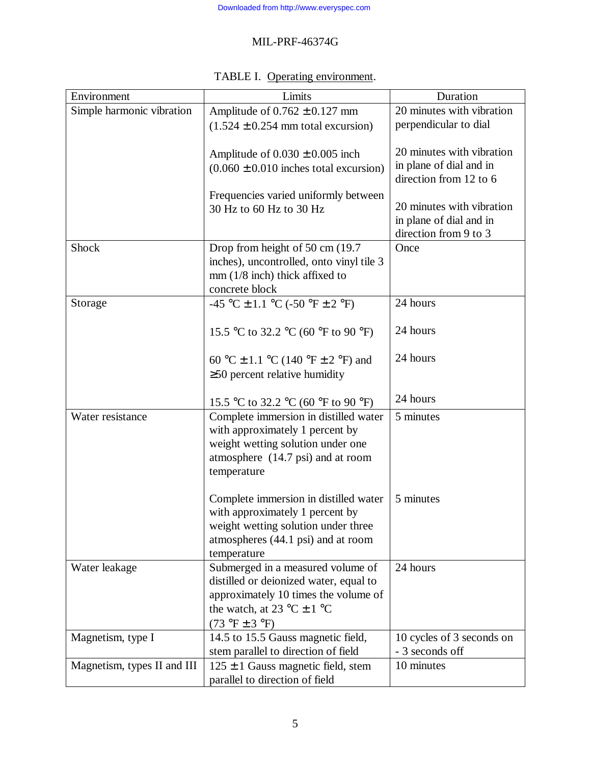| Environment                 | Limits                                                                    | Duration                                     |
|-----------------------------|---------------------------------------------------------------------------|----------------------------------------------|
| Simple harmonic vibration   | Amplitude of $0.762 \pm 0.127$ mm                                         | 20 minutes with vibration                    |
|                             | $(1.524 \pm 0.254$ mm total excursion)                                    | perpendicular to dial                        |
|                             |                                                                           |                                              |
|                             | Amplitude of $0.030 \pm 0.005$ inch                                       | 20 minutes with vibration                    |
|                             | $(0.060 \pm 0.010)$ inches total excursion)                               | in plane of dial and in                      |
|                             |                                                                           | direction from 12 to 6                       |
|                             | Frequencies varied uniformly between                                      | 20 minutes with vibration                    |
|                             | 30 Hz to 60 Hz to 30 Hz                                                   | in plane of dial and in                      |
|                             |                                                                           | direction from 9 to 3                        |
| <b>Shock</b>                | Drop from height of 50 cm (19.7)                                          | Once                                         |
|                             | inches), uncontrolled, onto vinyl tile 3                                  |                                              |
|                             | $mm(1/8$ inch) thick affixed to                                           |                                              |
|                             | concrete block                                                            |                                              |
| Storage                     | -45 °C $\pm$ 1.1 °C (-50 °F $\pm$ 2 °F)                                   | 24 hours                                     |
|                             |                                                                           |                                              |
|                             | 15.5 °C to 32.2 °C (60 °F to 90 °F)                                       | 24 hours                                     |
|                             |                                                                           |                                              |
|                             | 60 °C ± 1.1 °C (140 °F ± 2 °F) and                                        | 24 hours                                     |
|                             | $\geq$ 50 percent relative humidity                                       |                                              |
|                             | 15.5 °C to 32.2 °C (60 °F to 90 °F)                                       | 24 hours                                     |
| Water resistance            | Complete immersion in distilled water                                     | 5 minutes                                    |
|                             | with approximately 1 percent by                                           |                                              |
|                             | weight wetting solution under one                                         |                                              |
|                             | atmosphere (14.7 psi) and at room                                         |                                              |
|                             | temperature                                                               |                                              |
|                             |                                                                           |                                              |
|                             | Complete immersion in distilled water                                     | 5 minutes                                    |
|                             | with approximately 1 percent by                                           |                                              |
|                             | weight wetting solution under three                                       |                                              |
|                             | atmospheres (44.1 psi) and at room                                        |                                              |
|                             | temperature                                                               |                                              |
| Water leakage               | Submerged in a measured volume of                                         | 24 hours                                     |
|                             | distilled or deionized water, equal to                                    |                                              |
|                             | approximately 10 times the volume of                                      |                                              |
|                             | the watch, at 23 °C $\pm$ 1 °C                                            |                                              |
|                             | $(73 \text{ °F} \pm 3 \text{ °F})$                                        |                                              |
| Magnetism, type I           | 14.5 to 15.5 Gauss magnetic field,<br>stem parallel to direction of field | 10 cycles of 3 seconds on<br>- 3 seconds off |
| Magnetism, types II and III | $125 \pm 1$ Gauss magnetic field, stem                                    | 10 minutes                                   |
|                             | parallel to direction of field                                            |                                              |

# TABLE I. Operating environment.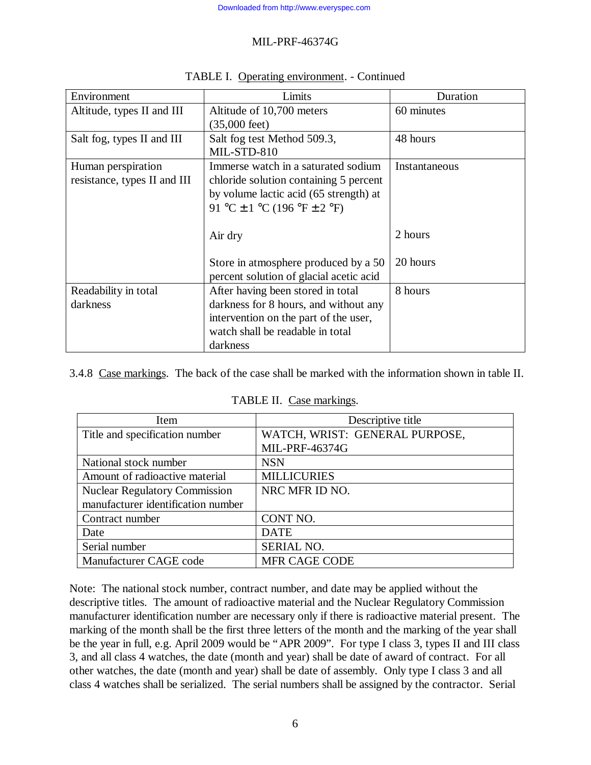| Environment                  | Limits                                  | Duration      |
|------------------------------|-----------------------------------------|---------------|
| Altitude, types II and III   | Altitude of 10,700 meters               | 60 minutes    |
|                              | $(35,000 \text{ feet})$                 |               |
| Salt fog, types II and III   | Salt fog test Method 509.3,             | 48 hours      |
|                              | MIL-STD-810                             |               |
| Human perspiration           | Immerse watch in a saturated sodium     | Instantaneous |
| resistance, types II and III | chloride solution containing 5 percent  |               |
|                              | by volume lactic acid (65 strength) at  |               |
|                              | 91 °C ± 1 °C (196 °F ± 2 °F)            |               |
|                              |                                         |               |
|                              | Air dry                                 | 2 hours       |
|                              |                                         |               |
|                              | Store in atmosphere produced by a 50    | 20 hours      |
|                              | percent solution of glacial acetic acid |               |
| Readability in total         | After having been stored in total       | 8 hours       |
| darkness                     | darkness for 8 hours, and without any   |               |
|                              | intervention on the part of the user,   |               |
|                              | watch shall be readable in total        |               |
|                              | darkness                                |               |

#### TABLE I. Operating environment. - Continued

3.4.8 Case markings. The back of the case shall be marked with the information shown in table II.

| TABLE II. Case markings. |  |
|--------------------------|--|
|                          |  |

| Item                                 | Descriptive title              |
|--------------------------------------|--------------------------------|
| Title and specification number       | WATCH, WRIST: GENERAL PURPOSE, |
|                                      | <b>MIL-PRF-46374G</b>          |
| National stock number                | <b>NSN</b>                     |
| Amount of radioactive material       | <b>MILLICURIES</b>             |
| <b>Nuclear Regulatory Commission</b> | NRC MFR ID NO.                 |
| manufacturer identification number   |                                |
| Contract number                      | CONT NO.                       |
| Date                                 | <b>DATE</b>                    |
| Serial number                        | <b>SERIAL NO.</b>              |
| Manufacturer CAGE code               | <b>MFR CAGE CODE</b>           |

Note: The national stock number, contract number, and date may be applied without the descriptive titles. The amount of radioactive material and the Nuclear Regulatory Commission manufacturer identification number are necessary only if there is radioactive material present. The marking of the month shall be the first three letters of the month and the marking of the year shall be the year in full, e.g. April 2009 would be "APR 2009". For type I class 3, types II and III class 3, and all class 4 watches, the date (month and year) shall be date of award of contract. For all other watches, the date (month and year) shall be date of assembly. Only type I class 3 and all class 4 watches shall be serialized. The serial numbers shall be assigned by the contractor. Serial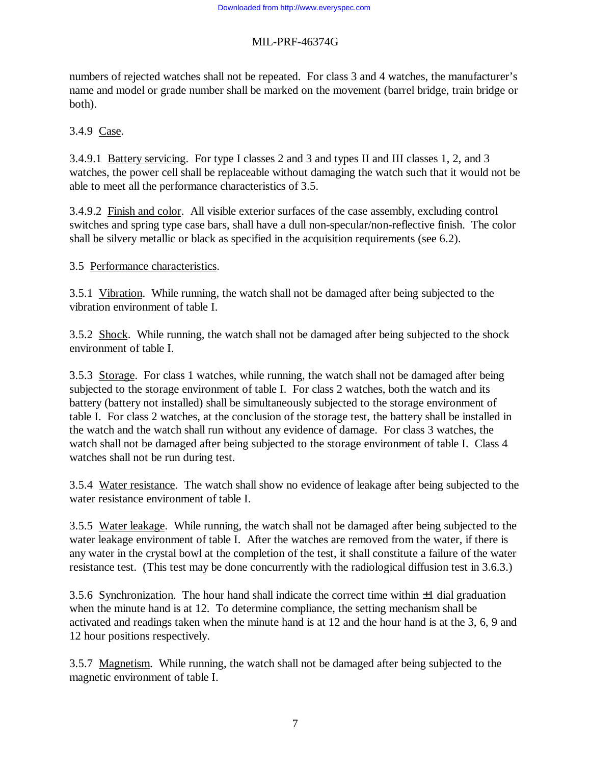numbers of rejected watches shall not be repeated. For class 3 and 4 watches, the manufacturer's name and model or grade number shall be marked on the movement (barrel bridge, train bridge or both).

# 3.4.9 Case.

3.4.9.1 Battery servicing. For type I classes 2 and 3 and types II and III classes 1, 2, and 3 watches, the power cell shall be replaceable without damaging the watch such that it would not be able to meet all the performance characteristics of 3.5.

3.4.9.2 Finish and color. All visible exterior surfaces of the case assembly, excluding control switches and spring type case bars, shall have a dull non-specular/non-reflective finish. The color shall be silvery metallic or black as specified in the acquisition requirements (see 6.2).

#### 3.5 Performance characteristics.

3.5.1 Vibration. While running, the watch shall not be damaged after being subjected to the vibration environment of table I.

3.5.2 Shock. While running, the watch shall not be damaged after being subjected to the shock environment of table I.

3.5.3 Storage. For class 1 watches, while running, the watch shall not be damaged after being subjected to the storage environment of table I. For class 2 watches, both the watch and its battery (battery not installed) shall be simultaneously subjected to the storage environment of table I. For class 2 watches, at the conclusion of the storage test, the battery shall be installed in the watch and the watch shall run without any evidence of damage. For class 3 watches, the watch shall not be damaged after being subjected to the storage environment of table I. Class 4 watches shall not be run during test.

3.5.4 Water resistance. The watch shall show no evidence of leakage after being subjected to the water resistance environment of table I.

3.5.5 Water leakage. While running, the watch shall not be damaged after being subjected to the water leakage environment of table I. After the watches are removed from the water, if there is any water in the crystal bowl at the completion of the test, it shall constitute a failure of the water resistance test. (This test may be done concurrently with the radiological diffusion test in 3.6.3.)

3.5.6 Synchronization. The hour hand shall indicate the correct time within  $\pm 1$  dial graduation when the minute hand is at 12. To determine compliance, the setting mechanism shall be activated and readings taken when the minute hand is at 12 and the hour hand is at the 3, 6, 9 and 12 hour positions respectively.

3.5.7 Magnetism. While running, the watch shall not be damaged after being subjected to the magnetic environment of table I.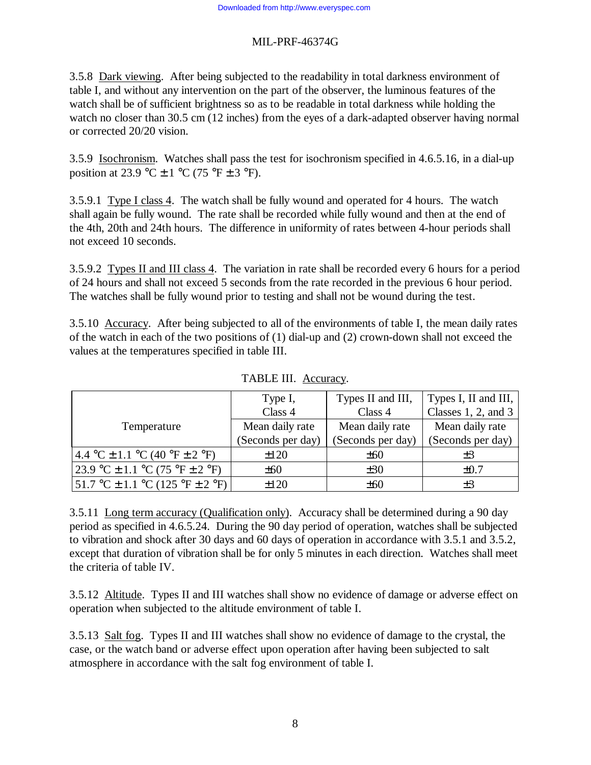3.5.8 Dark viewing. After being subjected to the readability in total darkness environment of table I, and without any intervention on the part of the observer, the luminous features of the watch shall be of sufficient brightness so as to be readable in total darkness while holding the watch no closer than 30.5 cm (12 inches) from the eyes of a dark-adapted observer having normal or corrected 20/20 vision.

3.5.9 Isochronism. Watches shall pass the test for isochronism specified in 4.6.5.16, in a dial-up position at 23.9 °C  $\pm$  1 °C (75 °F  $\pm$  3 °F).

3.5.9.1 Type I class 4. The watch shall be fully wound and operated for 4 hours. The watch shall again be fully wound. The rate shall be recorded while fully wound and then at the end of the 4th, 20th and 24th hours. The difference in uniformity of rates between 4-hour periods shall not exceed 10 seconds.

3.5.9.2 Types II and III class 4. The variation in rate shall be recorded every 6 hours for a period of 24 hours and shall not exceed 5 seconds from the rate recorded in the previous 6 hour period. The watches shall be fully wound prior to testing and shall not be wound during the test.

3.5.10 Accuracy. After being subjected to all of the environments of table I, the mean daily rates of the watch in each of the two positions of (1) dial-up and (2) crown-down shall not exceed the values at the temperatures specified in table III.

|                                                                       | Type I,           | Types II and III, | Types I, II and III,     |
|-----------------------------------------------------------------------|-------------------|-------------------|--------------------------|
|                                                                       | Class 4           | Class 4           | Classes $1, 2$ , and $3$ |
| Temperature                                                           | Mean daily rate   | Mean daily rate   | Mean daily rate          |
|                                                                       | (Seconds per day) | (Seconds per day) | (Seconds per day)        |
| 4.4 °C $\pm$ 1.1 °C (40 °F $\pm$ 2 °F)                                | ±120              | ±60               | $\pm 3$                  |
| $23.9 \text{ °C} \pm 1.1 \text{ °C} (75 \text{ °F} \pm 2 \text{ °F})$ | $\pm 60$          | ±30               | $\pm 0.7$                |
| $51.7 \text{ °C} \pm 1.1 \text{ °C}$ (125 °F $\pm$ 2 °F)              | $+120$            | ±60               | $\pm 3$                  |

TABLE III. Accuracy.

3.5.11 Long term accuracy (Qualification only). Accuracy shall be determined during a 90 day period as specified in 4.6.5.24. During the 90 day period of operation, watches shall be subjected to vibration and shock after 30 days and 60 days of operation in accordance with 3.5.1 and 3.5.2, except that duration of vibration shall be for only 5 minutes in each direction. Watches shall meet the criteria of table IV.

3.5.12 Altitude. Types II and III watches shall show no evidence of damage or adverse effect on operation when subjected to the altitude environment of table I.

3.5.13 Salt fog. Types II and III watches shall show no evidence of damage to the crystal, the case, or the watch band or adverse effect upon operation after having been subjected to salt atmosphere in accordance with the salt fog environment of table I.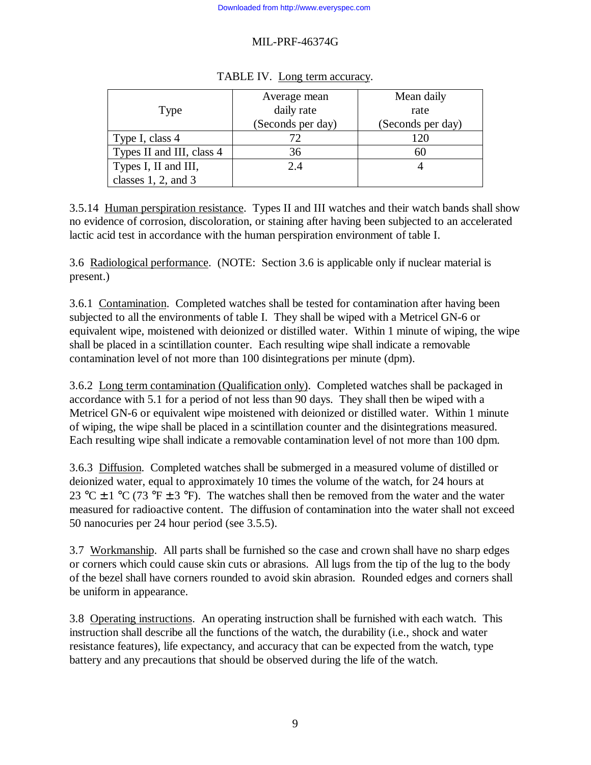|                           | Average mean      | Mean daily        |
|---------------------------|-------------------|-------------------|
| Type                      | daily rate        | rate              |
|                           | (Seconds per day) | (Seconds per day) |
| Type I, class 4           |                   | 120               |
| Types II and III, class 4 | 36                | 60                |
| Types I, II and III,      | 2.4               |                   |
| classes $1, 2$ , and $3$  |                   |                   |

#### TABLE IV. Long term accuracy.

3.5.14 Human perspiration resistance. Types II and III watches and their watch bands shall show no evidence of corrosion, discoloration, or staining after having been subjected to an accelerated lactic acid test in accordance with the human perspiration environment of table I.

3.6 Radiological performance. (NOTE: Section 3.6 is applicable only if nuclear material is present.)

3.6.1 Contamination. Completed watches shall be tested for contamination after having been subjected to all the environments of table I. They shall be wiped with a Metricel GN-6 or equivalent wipe, moistened with deionized or distilled water. Within 1 minute of wiping, the wipe shall be placed in a scintillation counter. Each resulting wipe shall indicate a removable contamination level of not more than 100 disintegrations per minute (dpm).

3.6.2 Long term contamination (Qualification only). Completed watches shall be packaged in accordance with 5.1 for a period of not less than 90 days. They shall then be wiped with a Metricel GN-6 or equivalent wipe moistened with deionized or distilled water. Within 1 minute of wiping, the wipe shall be placed in a scintillation counter and the disintegrations measured. Each resulting wipe shall indicate a removable contamination level of not more than 100 dpm.

3.6.3 Diffusion. Completed watches shall be submerged in a measured volume of distilled or deionized water, equal to approximately 10 times the volume of the watch, for 24 hours at 23 °C  $\pm$  1 °C (73 °F  $\pm$  3 °F). The watches shall then be removed from the water and the water measured for radioactive content. The diffusion of contamination into the water shall not exceed 50 nanocuries per 24 hour period (see 3.5.5).

3.7 Workmanship. All parts shall be furnished so the case and crown shall have no sharp edges or corners which could cause skin cuts or abrasions. All lugs from the tip of the lug to the body of the bezel shall have corners rounded to avoid skin abrasion. Rounded edges and corners shall be uniform in appearance.

3.8 Operating instructions. An operating instruction shall be furnished with each watch. This instruction shall describe all the functions of the watch, the durability (i.e., shock and water resistance features), life expectancy, and accuracy that can be expected from the watch, type battery and any precautions that should be observed during the life of the watch.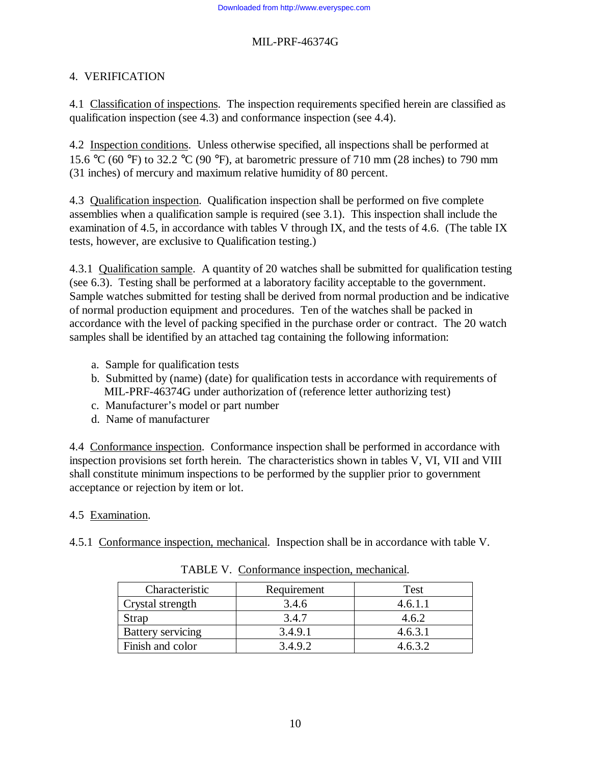# 4. VERIFICATION

4.1 Classification of inspections. The inspection requirements specified herein are classified as qualification inspection (see 4.3) and conformance inspection (see 4.4).

4.2 Inspection conditions. Unless otherwise specified, all inspections shall be performed at 15.6 °C (60 °F) to 32.2 °C (90 °F), at barometric pressure of 710 mm (28 inches) to 790 mm (31 inches) of mercury and maximum relative humidity of 80 percent.

4.3 Qualification inspection. Qualification inspection shall be performed on five complete assemblies when a qualification sample is required (see 3.1). This inspection shall include the examination of 4.5, in accordance with tables V through IX, and the tests of 4.6. (The table IX tests, however, are exclusive to Qualification testing.)

4.3.1 Qualification sample. A quantity of 20 watches shall be submitted for qualification testing (see 6.3). Testing shall be performed at a laboratory facility acceptable to the government. Sample watches submitted for testing shall be derived from normal production and be indicative of normal production equipment and procedures. Ten of the watches shall be packed in accordance with the level of packing specified in the purchase order or contract. The 20 watch samples shall be identified by an attached tag containing the following information:

- a. Sample for qualification tests
- b. Submitted by (name) (date) for qualification tests in accordance with requirements of MIL-PRF-46374G under authorization of (reference letter authorizing test)
- c. Manufacturer's model or part number
- d. Name of manufacturer

4.4 Conformance inspection. Conformance inspection shall be performed in accordance with inspection provisions set forth herein. The characteristics shown in tables V, VI, VII and VIII shall constitute minimum inspections to be performed by the supplier prior to government acceptance or rejection by item or lot.

# 4.5 Examination.

4.5.1 Conformance inspection, mechanical. Inspection shall be in accordance with table V.

| Characteristic           | Requirement | <b>Test</b> |
|--------------------------|-------------|-------------|
| Crystal strength         | 3.4.6       | 4.6.1.1     |
| <b>Strap</b>             | 3.4.7       | 4.6.2       |
| <b>Battery servicing</b> | 3.4.9.1     | 4.6.3.1     |
| Finish and color         | 3.4.9.2     | 4.6.3.2     |

TABLE V. Conformance inspection, mechanical.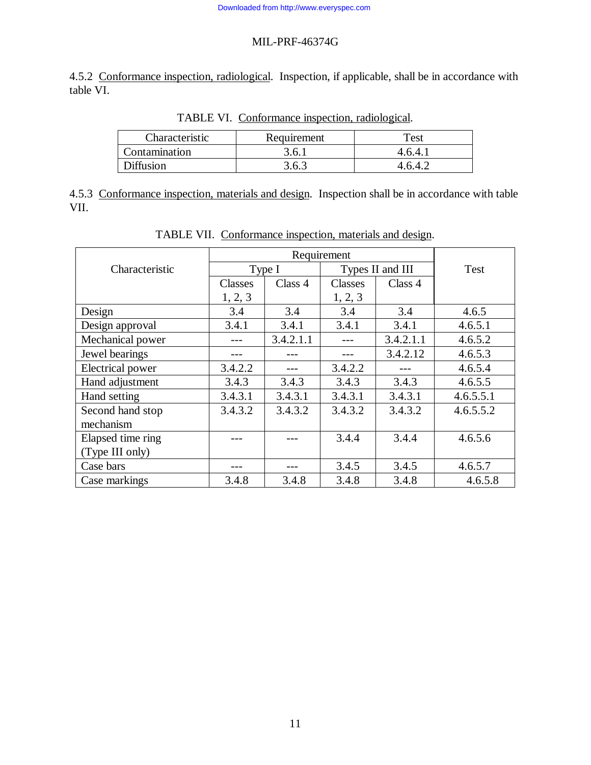4.5.2 Conformance inspection, radiological. Inspection, if applicable, shall be in accordance with table VI.

| Characteristic | Requirement | Test    |
|----------------|-------------|---------|
| Contamination  | 3.6.1       | 4.6.4.1 |
| Diffusion      | 3.6.3       | 4.6.4.2 |

TABLE VI. Conformance inspection, radiological.

4.5.3 Conformance inspection, materials and design. Inspection shall be in accordance with table VII.

|                         | Requirement    |           |                  |           |           |
|-------------------------|----------------|-----------|------------------|-----------|-----------|
| Characteristic          | Type I         |           | Types II and III |           | Test      |
|                         | <b>Classes</b> | Class 4   | Classes          | Class 4   |           |
|                         | 1, 2, 3        |           | 1, 2, 3          |           |           |
| Design                  | 3.4            | 3.4       | 3.4              | 3.4       | 4.6.5     |
| Design approval         | 3.4.1          | 3.4.1     | 3.4.1            | 3.4.1     | 4.6.5.1   |
| Mechanical power        |                | 3.4.2.1.1 |                  | 3.4.2.1.1 | 4.6.5.2   |
| Jewel bearings          |                |           |                  | 3.4.2.12  | 4.6.5.3   |
| <b>Electrical power</b> | 3.4.2.2        |           | 3.4.2.2          |           | 4.6.5.4   |
| Hand adjustment         | 3.4.3          | 3.4.3     | 3.4.3            | 3.4.3     | 4.6.5.5   |
| Hand setting            | 3.4.3.1        | 3.4.3.1   | 3.4.3.1          | 3.4.3.1   | 4.6.5.5.1 |
| Second hand stop        | 3.4.3.2        | 3.4.3.2   | 3.4.3.2          | 3.4.3.2   | 4.6.5.5.2 |
| mechanism               |                |           |                  |           |           |
| Elapsed time ring       |                |           | 3.4.4            | 3.4.4     | 4.6.5.6   |
| (Type III only)         |                |           |                  |           |           |
| Case bars               |                |           | 3.4.5            | 3.4.5     | 4.6.5.7   |
| Case markings           | 3.4.8          | 3.4.8     | 3.4.8            | 3.4.8     | 4.6.5.8   |

TABLE VII. Conformance inspection, materials and design.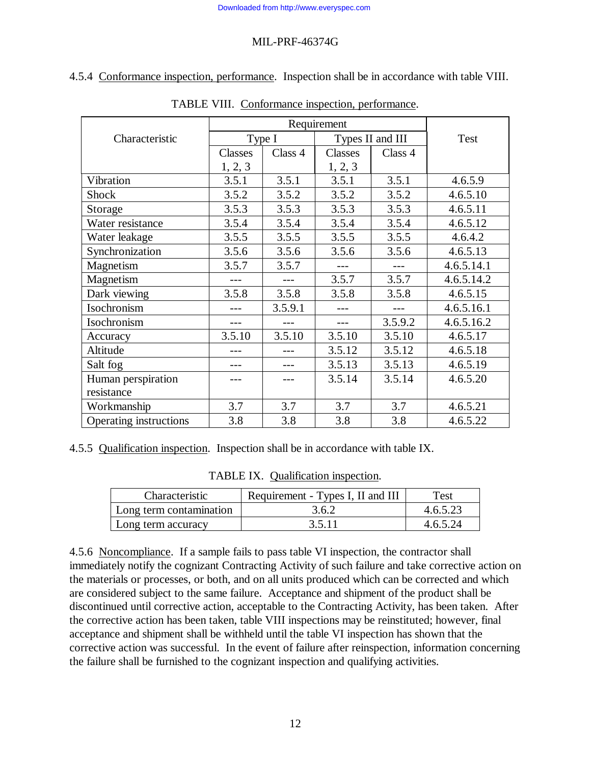4.5.4 Conformance inspection, performance. Inspection shall be in accordance with table VIII.

|                        | Requirement                |         |         |         |            |
|------------------------|----------------------------|---------|---------|---------|------------|
| Characteristic         | Type I<br>Types II and III |         | Test    |         |            |
|                        | Classes                    | Class 4 | Classes | Class 4 |            |
|                        | 1, 2, 3                    |         | 1, 2, 3 |         |            |
| Vibration              | 3.5.1                      | 3.5.1   | 3.5.1   | 3.5.1   | 4.6.5.9    |
| Shock                  | 3.5.2                      | 3.5.2   | 3.5.2   | 3.5.2   | 4.6.5.10   |
| Storage                | 3.5.3                      | 3.5.3   | 3.5.3   | 3.5.3   | 4.6.5.11   |
| Water resistance       | 3.5.4                      | 3.5.4   | 3.5.4   | 3.5.4   | 4.6.5.12   |
| Water leakage          | 3.5.5                      | 3.5.5   | 3.5.5   | 3.5.5   | 4.6.4.2    |
| Synchronization        | 3.5.6                      | 3.5.6   | 3.5.6   | 3.5.6   | 4.6.5.13   |
| Magnetism              | 3.5.7                      | 3.5.7   |         | $---$   | 4.6.5.14.1 |
| Magnetism              |                            |         | 3.5.7   | 3.5.7   | 4.6.5.14.2 |
| Dark viewing           | 3.5.8                      | 3.5.8   | 3.5.8   | 3.5.8   | 4.6.5.15   |
| Isochronism            |                            | 3.5.9.1 |         |         | 4.6.5.16.1 |
| Isochronism            |                            |         |         | 3.5.9.2 | 4.6.5.16.2 |
| Accuracy               | 3.5.10                     | 3.5.10  | 3.5.10  | 3.5.10  | 4.6.5.17   |
| Altitude               |                            |         | 3.5.12  | 3.5.12  | 4.6.5.18   |
| Salt fog               |                            |         | 3.5.13  | 3.5.13  | 4.6.5.19   |
| Human perspiration     |                            |         | 3.5.14  | 3.5.14  | 4.6.5.20   |
| resistance             |                            |         |         |         |            |
| Workmanship            | 3.7                        | 3.7     | 3.7     | 3.7     | 4.6.5.21   |
| Operating instructions | 3.8                        | 3.8     | 3.8     | 3.8     | 4.6.5.22   |

TABLE VIII. Conformance inspection, performance.

4.5.5 Qualification inspection. Inspection shall be in accordance with table IX.

| TABLE IX. Qualification inspection. |
|-------------------------------------|
|                                     |

| Characteristic          | Requirement - Types I, II and III | Test     |
|-------------------------|-----------------------------------|----------|
| Long term contamination | 3.6.2                             | 4.6.5.23 |
| Long term accuracy      | 3.5.11                            | 4.6.5.24 |

4.5.6 Noncompliance. If a sample fails to pass table VI inspection, the contractor shall immediately notify the cognizant Contracting Activity of such failure and take corrective action on the materials or processes, or both, and on all units produced which can be corrected and which are considered subject to the same failure. Acceptance and shipment of the product shall be discontinued until corrective action, acceptable to the Contracting Activity, has been taken. After the corrective action has been taken, table VIII inspections may be reinstituted; however, final acceptance and shipment shall be withheld until the table VI inspection has shown that the corrective action was successful. In the event of failure after reinspection, information concerning the failure shall be furnished to the cognizant inspection and qualifying activities.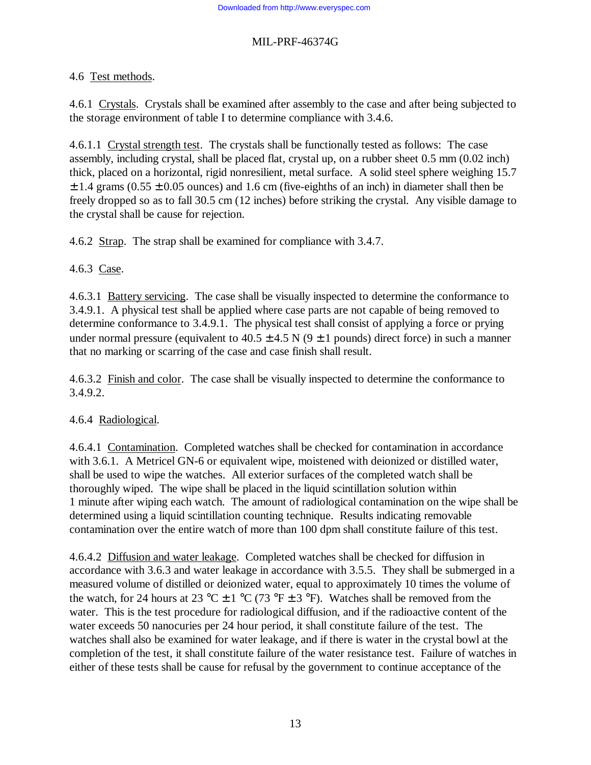# 4.6 Test methods.

4.6.1 Crystals. Crystals shall be examined after assembly to the case and after being subjected to the storage environment of table I to determine compliance with 3.4.6.

4.6.1.1 Crystal strength test. The crystals shall be functionally tested as follows: The case assembly, including crystal, shall be placed flat, crystal up, on a rubber sheet 0.5 mm (0.02 inch) thick, placed on a horizontal, rigid nonresilient, metal surface. A solid steel sphere weighing 15.7  $\pm$  1.4 grams (0.55  $\pm$  0.05 ounces) and 1.6 cm (five-eighths of an inch) in diameter shall then be freely dropped so as to fall 30.5 cm (12 inches) before striking the crystal. Any visible damage to the crystal shall be cause for rejection.

4.6.2 Strap. The strap shall be examined for compliance with 3.4.7.

4.6.3 Case.

4.6.3.1 Battery servicing. The case shall be visually inspected to determine the conformance to 3.4.9.1. A physical test shall be applied where case parts are not capable of being removed to determine conformance to 3.4.9.1. The physical test shall consist of applying a force or prying under normal pressure (equivalent to  $40.5 \pm 4.5$  N (9  $\pm$  1 pounds) direct force) in such a manner that no marking or scarring of the case and case finish shall result.

4.6.3.2 Finish and color. The case shall be visually inspected to determine the conformance to 3.4.9.2.

# 4.6.4 Radiological.

4.6.4.1 Contamination. Completed watches shall be checked for contamination in accordance with 3.6.1. A Metricel GN-6 or equivalent wipe, moistened with deionized or distilled water, shall be used to wipe the watches. All exterior surfaces of the completed watch shall be thoroughly wiped. The wipe shall be placed in the liquid scintillation solution within 1 minute after wiping each watch. The amount of radiological contamination on the wipe shall be determined using a liquid scintillation counting technique. Results indicating removable contamination over the entire watch of more than 100 dpm shall constitute failure of this test.

4.6.4.2 Diffusion and water leakage. Completed watches shall be checked for diffusion in accordance with 3.6.3 and water leakage in accordance with 3.5.5. They shall be submerged in a measured volume of distilled or deionized water, equal to approximately 10 times the volume of the watch, for 24 hours at 23 °C  $\pm$  1 °C (73 °F  $\pm$  3 °F). Watches shall be removed from the water. This is the test procedure for radiological diffusion, and if the radioactive content of the water exceeds 50 nanocuries per 24 hour period, it shall constitute failure of the test. The watches shall also be examined for water leakage, and if there is water in the crystal bowl at the completion of the test, it shall constitute failure of the water resistance test. Failure of watches in either of these tests shall be cause for refusal by the government to continue acceptance of the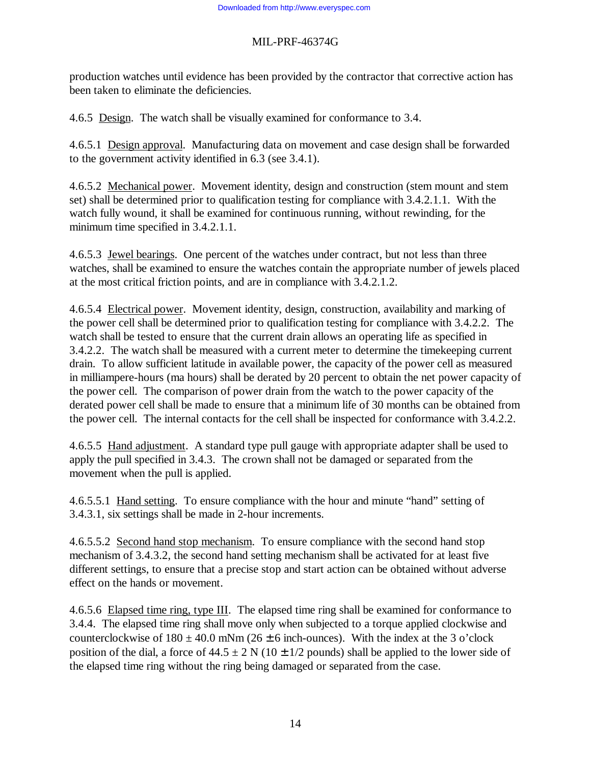production watches until evidence has been provided by the contractor that corrective action has been taken to eliminate the deficiencies.

4.6.5 Design. The watch shall be visually examined for conformance to 3.4.

4.6.5.1 Design approval. Manufacturing data on movement and case design shall be forwarded to the government activity identified in 6.3 (see 3.4.1).

4.6.5.2 Mechanical power. Movement identity, design and construction (stem mount and stem set) shall be determined prior to qualification testing for compliance with 3.4.2.1.1. With the watch fully wound, it shall be examined for continuous running, without rewinding, for the minimum time specified in 3.4.2.1.1.

4.6.5.3 Jewel bearings. One percent of the watches under contract, but not less than three watches, shall be examined to ensure the watches contain the appropriate number of jewels placed at the most critical friction points, and are in compliance with 3.4.2.1.2.

4.6.5.4 Electrical power. Movement identity, design, construction, availability and marking of the power cell shall be determined prior to qualification testing for compliance with 3.4.2.2. The watch shall be tested to ensure that the current drain allows an operating life as specified in 3.4.2.2. The watch shall be measured with a current meter to determine the timekeeping current drain. To allow sufficient latitude in available power, the capacity of the power cell as measured in milliampere-hours (ma hours) shall be derated by 20 percent to obtain the net power capacity of the power cell. The comparison of power drain from the watch to the power capacity of the derated power cell shall be made to ensure that a minimum life of 30 months can be obtained from the power cell. The internal contacts for the cell shall be inspected for conformance with 3.4.2.2.

4.6.5.5 Hand adjustment. A standard type pull gauge with appropriate adapter shall be used to apply the pull specified in 3.4.3. The crown shall not be damaged or separated from the movement when the pull is applied.

4.6.5.5.1 Hand setting. To ensure compliance with the hour and minute "hand" setting of 3.4.3.1, six settings shall be made in 2-hour increments.

4.6.5.5.2 Second hand stop mechanism. To ensure compliance with the second hand stop mechanism of 3.4.3.2, the second hand setting mechanism shall be activated for at least five different settings, to ensure that a precise stop and start action can be obtained without adverse effect on the hands or movement.

4.6.5.6 Elapsed time ring, type III. The elapsed time ring shall be examined for conformance to 3.4.4. The elapsed time ring shall move only when subjected to a torque applied clockwise and counterclockwise of  $180 \pm 40.0$  mNm ( $26 \pm 6$  inch-ounces). With the index at the 3 o'clock position of the dial, a force of  $44.5 \pm 2$  N ( $10 \pm 1/2$  pounds) shall be applied to the lower side of the elapsed time ring without the ring being damaged or separated from the case.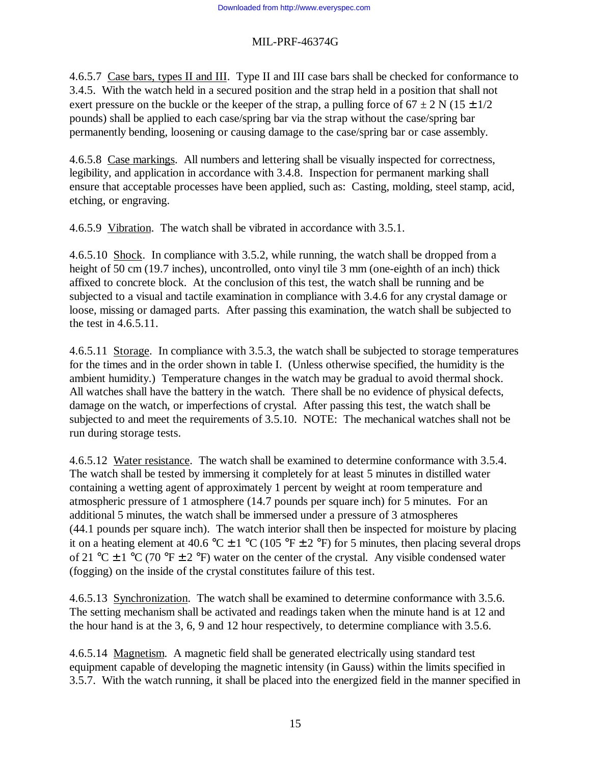4.6.5.7 Case bars, types II and III. Type II and III case bars shall be checked for conformance to 3.4.5. With the watch held in a secured position and the strap held in a position that shall not exert pressure on the buckle or the keeper of the strap, a pulling force of  $67 \pm 2$  N ( $15 \pm 1/2$ ) pounds) shall be applied to each case/spring bar via the strap without the case/spring bar permanently bending, loosening or causing damage to the case/spring bar or case assembly.

4.6.5.8 Case markings. All numbers and lettering shall be visually inspected for correctness, legibility, and application in accordance with 3.4.8. Inspection for permanent marking shall ensure that acceptable processes have been applied, such as: Casting, molding, steel stamp, acid, etching, or engraving.

4.6.5.9 Vibration. The watch shall be vibrated in accordance with 3.5.1.

4.6.5.10 Shock. In compliance with 3.5.2, while running, the watch shall be dropped from a height of 50 cm (19.7 inches), uncontrolled, onto vinyl tile 3 mm (one-eighth of an inch) thick affixed to concrete block. At the conclusion of this test, the watch shall be running and be subjected to a visual and tactile examination in compliance with 3.4.6 for any crystal damage or loose, missing or damaged parts. After passing this examination, the watch shall be subjected to the test in 4.6.5.11.

4.6.5.11 Storage. In compliance with 3.5.3, the watch shall be subjected to storage temperatures for the times and in the order shown in table I. (Unless otherwise specified, the humidity is the ambient humidity.) Temperature changes in the watch may be gradual to avoid thermal shock. All watches shall have the battery in the watch. There shall be no evidence of physical defects, damage on the watch, or imperfections of crystal. After passing this test, the watch shall be subjected to and meet the requirements of 3.5.10. NOTE: The mechanical watches shall not be run during storage tests.

4.6.5.12 Water resistance. The watch shall be examined to determine conformance with 3.5.4. The watch shall be tested by immersing it completely for at least 5 minutes in distilled water containing a wetting agent of approximately 1 percent by weight at room temperature and atmospheric pressure of 1 atmosphere (14.7 pounds per square inch) for 5 minutes. For an additional 5 minutes, the watch shall be immersed under a pressure of 3 atmospheres (44.1 pounds per square inch). The watch interior shall then be inspected for moisture by placing it on a heating element at 40.6 °C  $\pm$  1 °C (105 °F  $\pm$  2 °F) for 5 minutes, then placing several drops of 21 °C  $\pm$  1 °C (70 °F  $\pm$  2 °F) water on the center of the crystal. Any visible condensed water (fogging) on the inside of the crystal constitutes failure of this test.

4.6.5.13 Synchronization. The watch shall be examined to determine conformance with 3.5.6. The setting mechanism shall be activated and readings taken when the minute hand is at 12 and the hour hand is at the 3, 6, 9 and 12 hour respectively, to determine compliance with 3.5.6.

4.6.5.14 Magnetism. A magnetic field shall be generated electrically using standard test equipment capable of developing the magnetic intensity (in Gauss) within the limits specified in 3.5.7. With the watch running, it shall be placed into the energized field in the manner specified in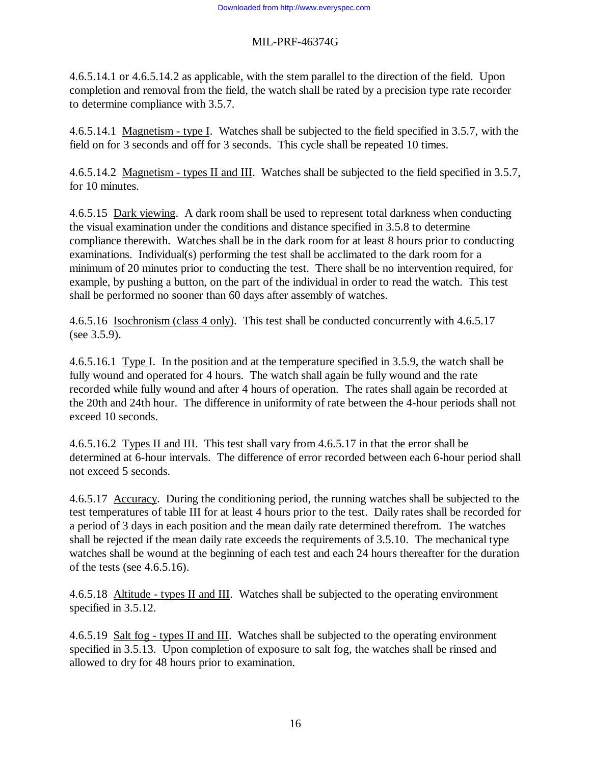4.6.5.14.1 or 4.6.5.14.2 as applicable, with the stem parallel to the direction of the field. Upon completion and removal from the field, the watch shall be rated by a precision type rate recorder to determine compliance with 3.5.7.

4.6.5.14.1 Magnetism - type I. Watches shall be subjected to the field specified in 3.5.7, with the field on for 3 seconds and off for 3 seconds. This cycle shall be repeated 10 times.

4.6.5.14.2 Magnetism - types II and III. Watches shall be subjected to the field specified in 3.5.7, for 10 minutes.

4.6.5.15 Dark viewing. A dark room shall be used to represent total darkness when conducting the visual examination under the conditions and distance specified in 3.5.8 to determine compliance therewith. Watches shall be in the dark room for at least 8 hours prior to conducting examinations. Individual(s) performing the test shall be acclimated to the dark room for a minimum of 20 minutes prior to conducting the test. There shall be no intervention required, for example, by pushing a button, on the part of the individual in order to read the watch. This test shall be performed no sooner than 60 days after assembly of watches.

4.6.5.16 Isochronism (class 4 only). This test shall be conducted concurrently with 4.6.5.17 (see 3.5.9).

4.6.5.16.1 Type I. In the position and at the temperature specified in 3.5.9, the watch shall be fully wound and operated for 4 hours. The watch shall again be fully wound and the rate recorded while fully wound and after 4 hours of operation. The rates shall again be recorded at the 20th and 24th hour. The difference in uniformity of rate between the 4-hour periods shall not exceed 10 seconds.

4.6.5.16.2 Types II and III. This test shall vary from 4.6.5.17 in that the error shall be determined at 6-hour intervals. The difference of error recorded between each 6-hour period shall not exceed 5 seconds.

4.6.5.17 Accuracy. During the conditioning period, the running watches shall be subjected to the test temperatures of table III for at least 4 hours prior to the test. Daily rates shall be recorded for a period of 3 days in each position and the mean daily rate determined therefrom. The watches shall be rejected if the mean daily rate exceeds the requirements of 3.5.10. The mechanical type watches shall be wound at the beginning of each test and each 24 hours thereafter for the duration of the tests (see 4.6.5.16).

4.6.5.18 Altitude - types II and III. Watches shall be subjected to the operating environment specified in 3.5.12.

4.6.5.19 Salt fog - types II and III. Watches shall be subjected to the operating environment specified in 3.5.13. Upon completion of exposure to salt fog, the watches shall be rinsed and allowed to dry for 48 hours prior to examination.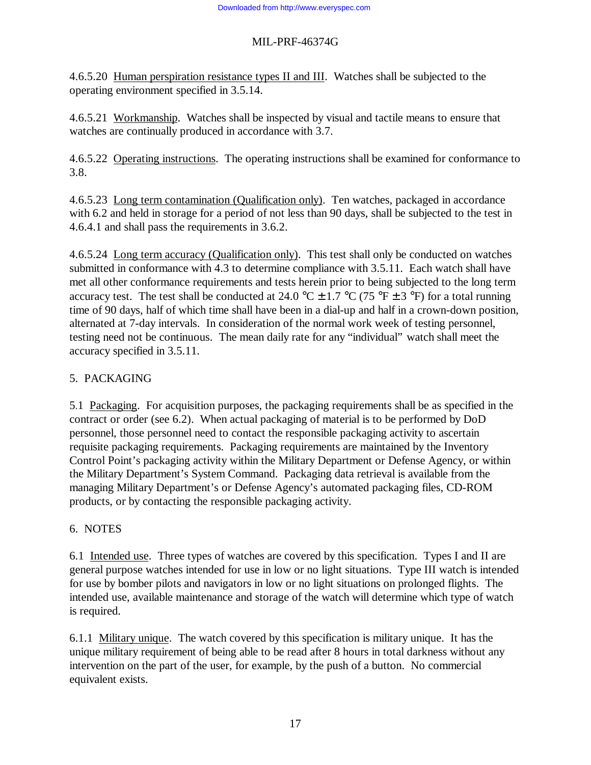4.6.5.20 Human perspiration resistance types II and III. Watches shall be subjected to the operating environment specified in 3.5.14.

4.6.5.21 Workmanship. Watches shall be inspected by visual and tactile means to ensure that watches are continually produced in accordance with 3.7.

4.6.5.22 Operating instructions. The operating instructions shall be examined for conformance to 3.8.

4.6.5.23 Long term contamination (Qualification only). Ten watches, packaged in accordance with 6.2 and held in storage for a period of not less than 90 days, shall be subjected to the test in 4.6.4.1 and shall pass the requirements in 3.6.2.

4.6.5.24 Long term accuracy (Qualification only). This test shall only be conducted on watches submitted in conformance with 4.3 to determine compliance with 3.5.11. Each watch shall have met all other conformance requirements and tests herein prior to being subjected to the long term accuracy test. The test shall be conducted at 24.0 °C  $\pm$  1.7 °C (75 °F  $\pm$  3 °F) for a total running time of 90 days, half of which time shall have been in a dial-up and half in a crown-down position, alternated at 7-day intervals. In consideration of the normal work week of testing personnel, testing need not be continuous. The mean daily rate for any "individual" watch shall meet the accuracy specified in 3.5.11.

# 5. PACKAGING

5.1 Packaging. For acquisition purposes, the packaging requirements shall be as specified in the contract or order (see 6.2). When actual packaging of material is to be performed by DoD personnel, those personnel need to contact the responsible packaging activity to ascertain requisite packaging requirements. Packaging requirements are maintained by the Inventory Control Point's packaging activity within the Military Department or Defense Agency, or within the Military Department's System Command. Packaging data retrieval is available from the managing Military Department's or Defense Agency's automated packaging files, CD-ROM products, or by contacting the responsible packaging activity.

# 6. NOTES

6.1 Intended use. Three types of watches are covered by this specification. Types I and II are general purpose watches intended for use in low or no light situations. Type III watch is intended for use by bomber pilots and navigators in low or no light situations on prolonged flights. The intended use, available maintenance and storage of the watch will determine which type of watch is required.

6.1.1 Military unique. The watch covered by this specification is military unique. It has the unique military requirement of being able to be read after 8 hours in total darkness without any intervention on the part of the user, for example, by the push of a button. No commercial equivalent exists.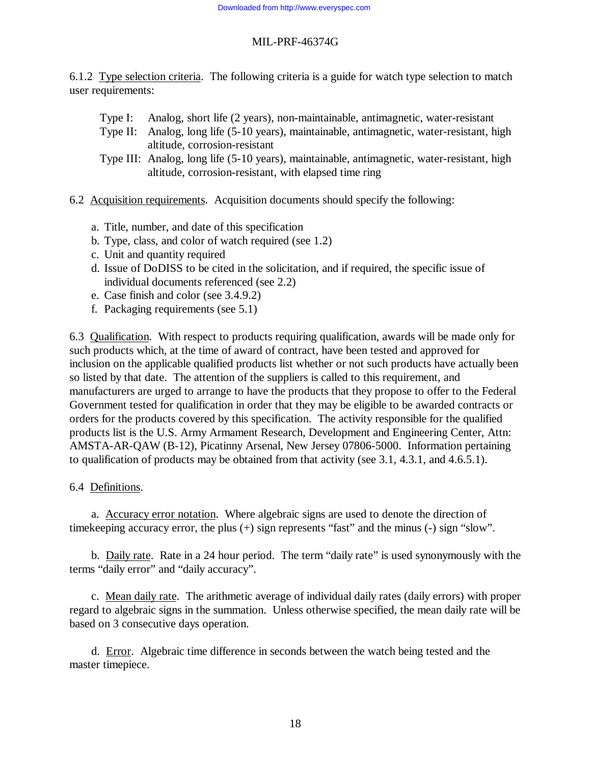6.1.2 Type selection criteria. The following criteria is a guide for watch type selection to match user requirements:

- Type I: Analog, short life (2 years), non-maintainable, antimagnetic, water-resistant
- Type II: Analog, long life (5-10 years), maintainable, antimagnetic, water-resistant, high altitude, corrosion-resistant
- Type III: Analog, long life (5-10 years), maintainable, antimagnetic, water-resistant, high altitude, corrosion-resistant, with elapsed time ring
- 6.2 Acquisition requirements. Acquisition documents should specify the following:
	- a. Title, number, and date of this specification
	- b. Type, class, and color of watch required (see 1.2)
	- c. Unit and quantity required
	- d. Issue of DoDISS to be cited in the solicitation, and if required, the specific issue of individual documents referenced (see 2.2)
	- e. Case finish and color (see 3.4.9.2)
	- f. Packaging requirements (see 5.1)

6.3 Qualification. With respect to products requiring qualification, awards will be made only for such products which, at the time of award of contract, have been tested and approved for inclusion on the applicable qualified products list whether or not such products have actually been so listed by that date. The attention of the suppliers is called to this requirement, and manufacturers are urged to arrange to have the products that they propose to offer to the Federal Government tested for qualification in order that they may be eligible to be awarded contracts or orders for the products covered by this specification. The activity responsible for the qualified products list is the U.S. Army Armament Research, Development and Engineering Center, Attn: AMSTA-AR-QAW (B-12), Picatinny Arsenal, New Jersey 07806-5000. Information pertaining to qualification of products may be obtained from that activity (see 3.1, 4.3.1, and 4.6.5.1).

#### 6.4 Definitions.

a. Accuracy error notation. Where algebraic signs are used to denote the direction of timekeeping accuracy error, the plus (+) sign represents "fast" and the minus (-) sign "slow".

b. Daily rate. Rate in a 24 hour period. The term "daily rate" is used synonymously with the terms "daily error" and "daily accuracy".

c. Mean daily rate. The arithmetic average of individual daily rates (daily errors) with proper regard to algebraic signs in the summation. Unless otherwise specified, the mean daily rate will be based on 3 consecutive days operation.

d. Error. Algebraic time difference in seconds between the watch being tested and the master timepiece.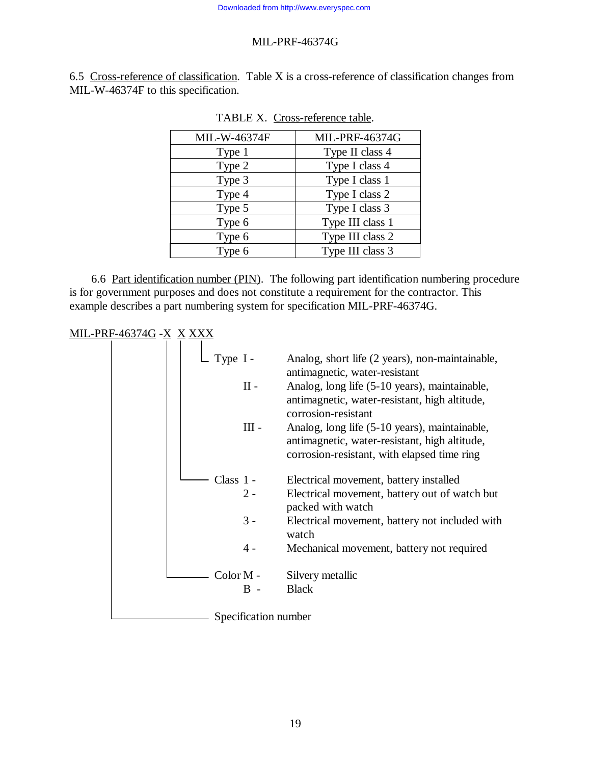6.5 Cross-reference of classification. Table X is a cross-reference of classification changes from MIL-W-46374F to this specification.

| MIL-W-46374F | MIL-PRF-46374G   |  |
|--------------|------------------|--|
| Type 1       | Type II class 4  |  |
| Type 2       | Type I class 4   |  |
| Type 3       | Type I class 1   |  |
| Type 4       | Type I class 2   |  |
| Type 5       | Type I class 3   |  |
| Type 6       | Type III class 1 |  |
| Type 6       | Type III class 2 |  |
| Type 6       | Type III class 3 |  |

| TABLE X. Cross-reference table. |  |
|---------------------------------|--|
|                                 |  |

6.6 Part identification number (PIN). The following part identification numbering procedure is for government purposes and does not constitute a requirement for the contractor. This example describes a part numbering system for specification MIL-PRF-46374G.

# MIL-PRF-46374G -X X XXX

| Type $I -$           | Analog, short life (2 years), non-maintainable,                                                                                               |
|----------------------|-----------------------------------------------------------------------------------------------------------------------------------------------|
|                      | antimagnetic, water-resistant                                                                                                                 |
| $\rm II$ -           | Analog, long life (5-10 years), maintainable,<br>antimagnetic, water-resistant, high altitude,<br>corrosion-resistant                         |
| $III -$              | Analog, long life (5-10 years), maintainable,<br>antimagnetic, water-resistant, high altitude,<br>corrosion-resistant, with elapsed time ring |
| Class $1 -$          | Electrical movement, battery installed                                                                                                        |
| $2 -$                | Electrical movement, battery out of watch but<br>packed with watch                                                                            |
| $3 -$                | Electrical movement, battery not included with<br>watch                                                                                       |
| $4 -$                | Mechanical movement, battery not required                                                                                                     |
| Color M -            | Silvery metallic                                                                                                                              |
| $R -$                | <b>Black</b>                                                                                                                                  |
| Specification number |                                                                                                                                               |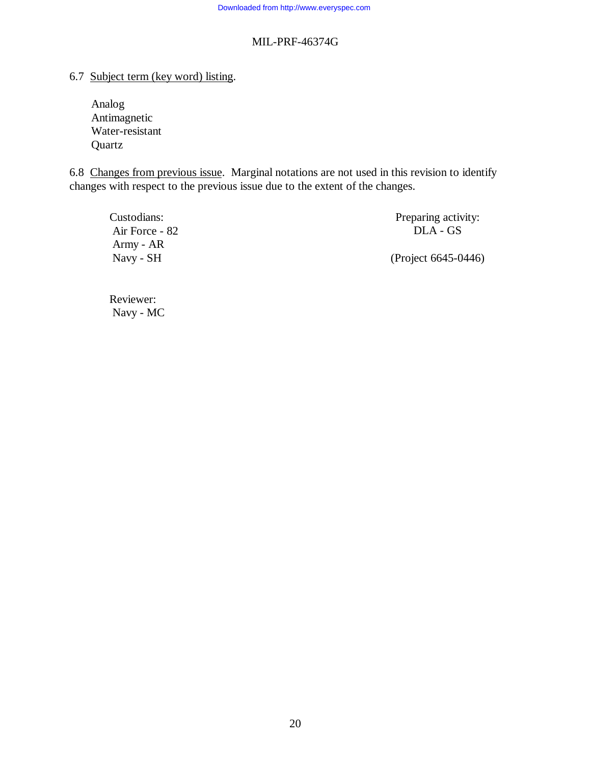6.7 Subject term (key word) listing.

Analog Antimagnetic Water-resistant Quartz

6.8 Changes from previous issue. Marginal notations are not used in this revision to identify changes with respect to the previous issue due to the extent of the changes.

| Custodians:    | Preparing activity: |
|----------------|---------------------|
| Air Force - 82 | DLA - GS            |
| Army - AR      |                     |
| Navy - SH      | (Project 6645-0446) |

Reviewer: Navy - MC